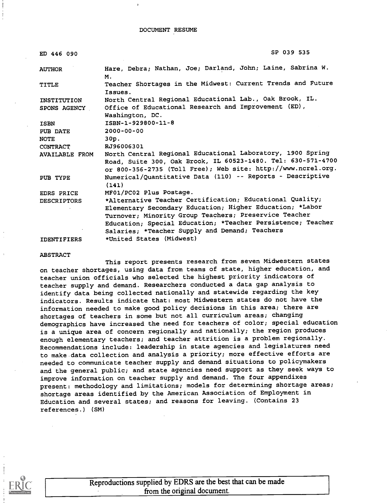| ED 446 090            | SP 039 535                                                                                                                                                                                 |
|-----------------------|--------------------------------------------------------------------------------------------------------------------------------------------------------------------------------------------|
| <b>AUTHOR</b>         | Hare, Debra; Nathan, Joe; Darland, John; Laine, Sabrina W.<br>Μ.                                                                                                                           |
| <b>TITLE</b>          | Teacher Shortages in the Midwest: Current Trends and Future<br>Issues.                                                                                                                     |
| INSTITUTION           | North Central Regional Educational Lab., Oak Brook, IL.                                                                                                                                    |
| <b>SPONS AGENCY</b>   | Office of Educational Research and Improvement (ED),<br>Washington, DC.                                                                                                                    |
| <b>ISBN</b>           | ISBN-1-929800-11-8                                                                                                                                                                         |
| <b>PUB DATE</b>       | $2000 - 00 - 00$                                                                                                                                                                           |
| <b>NOTE</b>           | 30p.                                                                                                                                                                                       |
| CONTRACT              | RJ96006301                                                                                                                                                                                 |
| <b>AVAILABLE FROM</b> | North Central Regional Educational Laboratory, 1900 Spring<br>Road, Suite 300, Oak Brook, IL 60523-1480. Tel: 630-571-4700<br>or 800-356-2735 (Toll Free); Web site: http://www.ncrel.org. |
| PUB TYPE              | Numerical/Quantitative Data (110) -- Reports - Descriptive<br>(141)                                                                                                                        |
| EDRS PRICE            | MF01/PC02 Plus Postage.                                                                                                                                                                    |
| <b>DESCRIPTORS</b>    | *Alternative Teacher Certification; Educational Quality;                                                                                                                                   |
|                       | Elementary Secondary Education; Higher Education; *Labor                                                                                                                                   |
|                       | Turnover; Minority Group Teachers; Preservice Teacher                                                                                                                                      |
|                       | Education; Special Education; *Teacher Persistence; Teacher<br>Salaries; *Teacher Supply and Demand; Teachers                                                                              |
| <b>IDENTIFIERS</b>    | *United States (Midwest)                                                                                                                                                                   |

#### ABSTRACT

This report presents research from seven Midwestern states on teacher shortages, using data from teams of state, higher education, and teacher union officials who selected the highest priority indicators of teacher supply and demand. Researchers conducted a data gap analysis to identify data being collected nationally and statewide regarding the key indicators. Results indicate that: most Midwestern states do not have the information needed to make good policy decisions in this area; there are shortages of teachers in some but not all curriculum areas; changing demographics have increased the need for teachers of color; special education is a unique area of concern regionally and nationally; the region produces enough elementary teachers; and teacher attrition is a problem regionally. Recommendations include: leadership in state agencies and legislatures need to make data collection and analysis a priority; more effective efforts are needed to communicate teacher supply and demand situations to policymakers and the general public; and state agencies need support as they seek ways to improve information on teacher supply and demand. The four appendixes present: methodology and limitations; models for determining shortage areas; shortage areas identified by the American Association of Employment in Education and several states; and reasons for leaving. (Contains 23 references.) (SM)

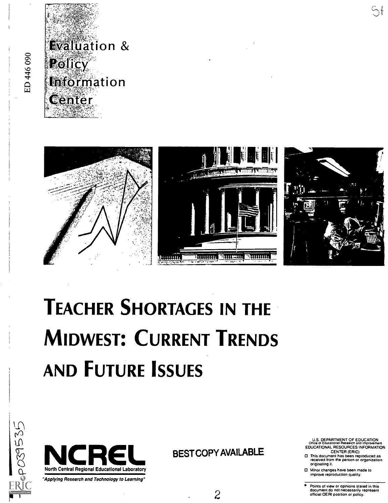

**D609941** 



# TEACHER SHORTAGES IN THE MIDWEST: CURRENT TRENDS AND FUTURE ISSUES





BEST COPY AVAILABLE

U.S. DEPARTMENT OF EDUCATION 011ice or Educahonal Research and Improvement EDUCATIONAL RESOURCES INFORMATION

Sf

- CENTER (ERIC) This document has been reproduced as received from the person or organization originating it.
- Minor changes have been made to improve reproduction quality.
- Points of view or opinions stated in this document do not necessarily represent official OERI position or policy.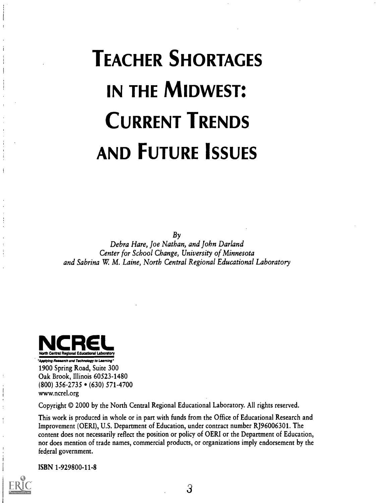# TEACHER SHORTAGES IN THE MIDWEST: CURRENT TRENDS AND FUTURE ISSUES

 $B_{\gamma}$ 

Debra Hare, Joe Nathan, and John Darland Center for School Change, University of Minnesota and Sabrina W. M. Laine, North Central Regional Educational Laboratory



"Applying Research and Technology to Learning" 1900 Spring Road, Suite 300 Oak Brook, Illinois 60523-1480 (800) 356-2735 • (630) 571-4700 www.ncrel.org

Copyright © 2000 by the North Central Regional Educational Laboratory. All rights reserved.

This work is produced in whole or in part with funds from the Office of Educational Research and Improvement (OERI), U.S. Department of Education, under contract number RJ96006301. The content does not necessarily reflect the position or policy of OERI or the Department of Education, nor does mention of trade names, commercial products, or organizations imply endorsement by the federal government.

ISBN 1-929800-11-8

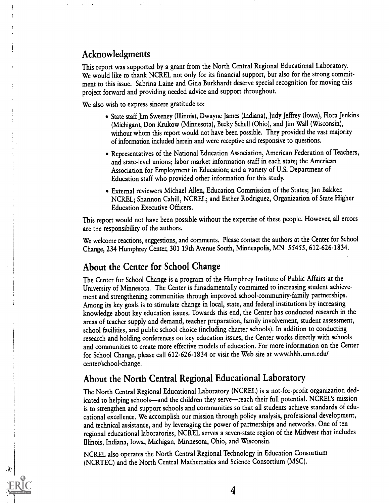## Acknowledgments

This report was supported by a grant from the North Central Regional Educational Laboratory. We would like to thank NCREL not only for its financial support, but also for the strong commitment to this issue. Sabrina Laine and Gina Burkhardt deserve special recognition for moving this project forward and providing needed advice and support throughout.

We also wish to express sincere gratitude to:

- State staff Jim Sweeney (Illinois), Dwayne James (Indiana), Judy Jeffrey (Iowa), Flora Jenkins (Michigan), Don Krukow (Minnesota), Becky Schell (Ohio), and Jim Wall (Wisconsin), without whom this report would not have been possible. They provided the vast majority of information included herein and were receptive and responsive to questions.
- Representatives of the National Education Association, American Federation of Teachers, and state-level unions; labor market information staff in each state; the American Association for Employment in Education; and a variety of U.S. Department of Education staff who provided other information for this study.
- External reviewers Michael Allen, Education Commission of the States; Jan Bakker, NCREL; Shannon Cahill, NCREL; and Esther Rodriguez, Organization of State Higher Education Executive Officers.

This report would not have been possible without the expertise of these people. However, all errors are the responsibility of the authors.

We welcome reactions, suggestions, and comments. Please contact the authors at the Center for School Change, 234 Humphrey Center, 301 19th Avenue South, Minneapolis, MN 55455, 612-626-1834.

## About the Center for School Change

The Center for School Change is a program of the Humphrey Institute of Public Affairs at the University of Minnesota. The Center is funadamentally committed to increasing student achievement and strengthening communities through improved school-community-family partnerships. Among its key goals is to stimulate change in local, state, and federal institutions by increasing knowledge about key education issues. Towards this end, the Center has conducted research in the areas of teacher supply and demand, teacher preparation, family involvement, student assessment, school facilities, and public school choice (including charter schools). In addition to conducting research and holding conferences on key education issues, the Center works directly with schools and communities to create more effective models of education. For more information on the Center for School Change, please call 612-626-1834 or visit the Web site at www.hhh.umn.edu/ center/school-change.

## About the North Central Regional Educational Laboratory

The North Central Regional Educational Laboratory (NCREL) is a not-for-profit organization dedicated to helping schools—and the children they serve—reach their full potential. NCREL's mission is to strengthen and support schools and communities so that all students achieve standards of educational excellence. We accomplish our mission through policy analysis, professional development, and technical assistance, and by leveraging the power of partnerships and networks. One of ten regional educational laboratories, NCREL serves a seven-state region of the Midwest that includes Illinois, Indiana, Iowa, Michigan, Minnesota, Ohio, and Wisconsin.

NCREL also operates the North Central Regional Technology in Education Consortium (NCRTEC) and the North Central Mathematics and Science Consortium (MSC).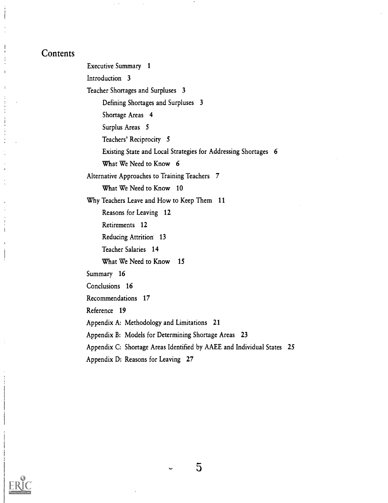## **Contents**

Executive Summary 1 Introduction 3 Teacher Shortages and Surpluses 3 Defining Shortages and Surpluses 3 Shortage Areas 4 Surplus Areas 5 Teachers' Reciprocity 5 Existing State and Local Strategies for Addressing Shortages 6 What We Need to Know 6 Alternative Approaches to Training Teachers 7 What We Need to Know 10 Why Teachers Leave and How to Keep Them 11 Reasons for Leaving 12 Retirements 12 Reducing Attrition 13 Teacher Salaries 14 What We Need to Know 15 Summary 16 Conclusions 16 Recommendations 17 Reference 19 Appendix A: Methodology and Limitations 21 Appendix B: Models for Determining Shortage Areas 23 Appendix C: Shortage Areas Identified by AAEE and Individual States 25 Appendix D: Reasons for Leaving 27



 $5\phantom{.0}$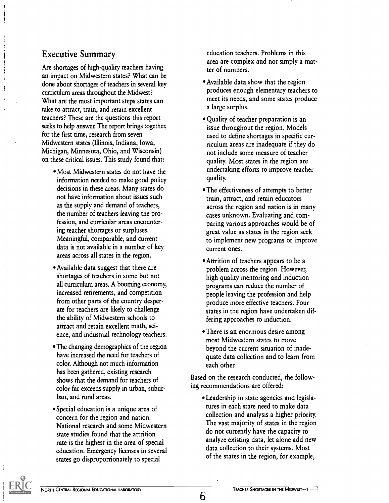## Executive Summary

Are shortages of high-quality teachers having an impact on Midwestern states? What can be done about shortages of teachers in several key curriculum areas throughout the Midwest? What are the most important steps states can take to attract, train, and retain excellent teachers? These are the questions this report seeks to help answer. The report brings together, for the first time, research from seven Midwestern states (Illinois, Indiana, Iowa, Michigan, Minnesota, Ohio, and Wisconsin) on these critical issues. This study found that:

- Most Midwestern states do not have the information needed to make good policy decisions in these areas. Many states do not have information about issues such as the supply and demand of teachers, the number of teachers leaving the profession, and curricular areas encountering teacher shortages or surpluses. Meaningful, comparable, and current data is not available in a number of key areas across all states in the region.
- Available data suggest that there are shortages of teachers in some but not all curriculum areas. A booming economy, increased retirements, and competition from other parts of the country desperate for teachers are likely to challenge the ability of Midwestern schools to attract and retain excellent math, science, and industrial technology teachers.
- The changing demographics of the region have increased the need for teachers of color. Although not much information has been gathered, existing research shows that the demand for teachers of color far exceeds supply in urban, suburban, and rural areas.
- Special education is a unique area of concern for the region and nation. National research and some Midwestern state studies found that the attrition rate is the highest in the area of special education. Emergency licenses in several states go disproportionately to special

education teachers. Problems in this area are complex and not simply a matter of numbers.

- Available data show that the region produces enough elementary teachers to meet its needs, and some states produce a large surplus.
- Quality of teacher preparation is an issue throughout the region. Models used to define shortages in specific curriculum areas are inadequate if they do not include some measure of teacher quality. Most states in the region are undertaking efforts to improve teacher quality.
- The effectiveness of attempts to better train, attract, and retain educators across the region and nation is in many cases unknown. Evaluating and comparing various approaches would be of great value as states in the region seek to implement new programs or improve current ones.
- Attrition of teachers appears to be a problem across the region. However, high-quality mentoring and induction programs can reduce the number of people leaving the profession and help produce more effective teachers. Four states in the region have undertaken differing approaches to induction.
- There is an enormous desire among most Midwestern states to move beyond the current situation of inadequate data collection and to learn from each other.

Based on the research conducted, the following recommendations are offered:

Leadership in state agencies and legislatures in each state need to make data collection and analysis a higher priority. The vast majority of states in the region do not currently have the capacity to analyze existing data, let alone add new data collection to their systems. Most of the states in the region, for example,

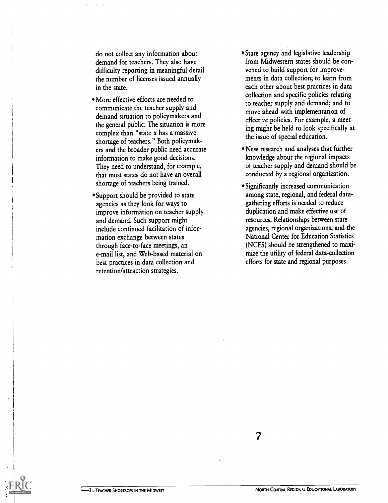do not collect any information about demand for teachers. They also have difficulty reporting in meaningful detail the number of licenses issued annually in the state.

- More effective efforts are needed to communicate the teacher supply and demand situation to policymakers and the general public. The situation is more complex than "state x has a massive shortage of teachers." Both policymakers and the broader public need accurate information to make good decisions. They need to understand, for example, that most states do not have an overall shortage of teachers being trained.
- Support should be provided to state agencies as they look for ways to improve information on teacher supply and demand. Such support might include continued facilitation of information exchange between states through face-to-face meetings, an e-mail list, and Web-based material on best practices in data collection and retention/attraction strategies.
- State agency and legislative leadership from Midwestern states should be convened to build support for improvements in data collection; to learn from each other about best practices in data collection and specific policies relating to teacher supply and demand; and to move ahead with implementation of effective policies. For example, a meeting might be held to look specifically at the issue of special education.
- New research and analyses that further knowledge about the regional impacts of teacher supply and demand should be conducted by a regional organization.
- Significantly increased communication among state, regional, and federal datagathering efforts is needed to reduce duplication and make effective use of resources. Relationships between state agencies, regional organizations, and the National Center for Education Statistics (NCES) should be strengthened to maximize the utility of federal data-collection efforts for state and regional purposes.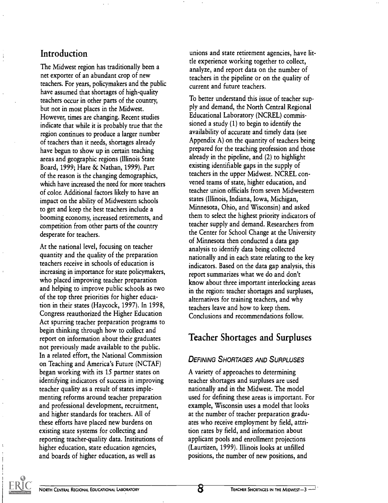## Introduction

 $\frac{1}{4}$ 

The Midwest region has traditionally been a net exporter of an abundant crop of new teachers. For years, policymakers and the public have assumed that shortages of high-quality teachers occur in other parts of the country, but not in most places in the Midwest. However, times are changing. Recent studies indicate that while it is probably true that the region continues to produce a larger number of teachers than it needs, shortages already have begun to show up in certain teaching areas and geographic regions (Illinois State Board, 1999; Hare & Nathan, 1999). Part of the reason is the changing demographics, which have increased the need for more teachers of color. Additional factors likely to have an impact on the ability of Midwestern schools to get and keep the best teachers include a booming economy, increased retirements, and competition from other parts of the country desperate for teachers.

At the national level, focusing on teacher quantity and the quality of the preparation teachers receive in schools of education is increasing in importance for state policymakers, who placed improving teacher preparation and helping to improve public schools as two of the top three priorities for higher education in their states (Haycock, 1997). In 1998, Congress reauthorized the Higher Education Act spurring teacher preparation programs to begin thinking through how to collect and report on information about their graduates not previously made available to the public. In a related effort, the National Commission on Teaching and America's Future (NCTAF) began working with its 15 partner states on identifying indicators of success in improving teacher quality as a result of states implementing reforms around teacher preparation and professional development, recruitment, and higher standards for teachers. All of these efforts have placed new burdens on existing state systems for collecting and reporting teacher-quality data. Institutions of higher education, state education agencies, and boards of higher education, as well as

unions and state retirement agencies, have little experience working together to collect, analyze, and report data on the number of teachers in the pipeline or on the quality of current and future teachers.

To better understand this issue of teacher supply and demand, the North Central Regional Educational Laboratory (NCREL) commissioned a study (1) to begin to identify the availability of accurate and timely data (see Appendix A) on the quantity of teachers being prepared for the teaching profession and those already in the pipeline, and (2) to highlight existing identifiable gaps in the supply of teachers in the upper Midwest. NCREL convened teams of state, higher education, and teacher union officials from seven Midwestern states (Illinois, Indiana, Iowa, Michigan, Minnesota, Ohio, and Wisconsin) and asked them to select the highest priority indicators of teacher supply and demand. Researchers from the Center for School Change at the University of Minnesota then conducted a data gap analysis to identify data being collected nationally and in each state relating to the key indicators. Based on the data gap analysis, this report summarizes what we do and don't know about three important interlocking areas in the region: teacher shortages and surpluses, alternatives for training teachers, and why teachers leave and how to keep them. Conclusions and recommendations follow.

## Teacher Shortages and Surpluses

## DEFINING SHORTAGES AND SURPLUSES

A variety of approaches to determining teacher shortages and surpluses are used nationally and in the Midwest. The model used for defining these areas is important. For example, Wisconsin uses a model that looks at the number of teacher preparation graduates who receive employment by field, attrition rates by field, and information about applicant pools and enrollment projections (Laurtizen, 1999). Illinois looks at unfilled positions, the number of new positions, and

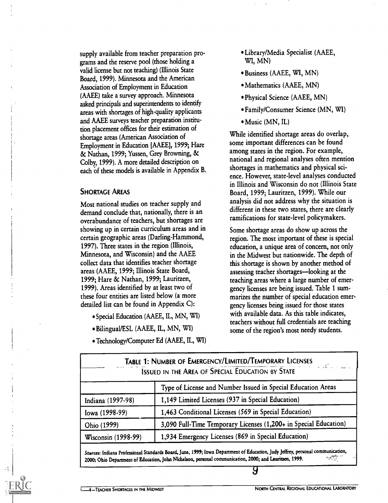supply available from teacher preparation programs and the reserve pool (those holding a valid license but not teaching) (Illinois State Board, 1999). Minnesota and the American Association of Employment in Education (AAEE) take a survey approach. Minnesota asked principals and superintendents to identify areas with shortages of high-quality applicants and AAEE surveys teacher preparation institution placement offices for their estimation of shortage areas (American Association of Employment in Education [AAEE], 1999; Hare & Nathan, 1999; Yussen, Grey Browning, & Colby, 1999). A more detailed description on each of these models is available in Appendix B.

#### SHORTAGE AREAS

Most national studies on teacher supply and demand conclude that, nationally, there is an overabundance of teachers, but shortages are showing up in certain curriculum areas and in certain geographic areas (Darling-Hammond, 1997). Three states in the region (Illinois, Minnesota, and Wisconsin) and the AAEE collect data that identifies teacher shortage areas (AAEE, 1999; Illinois State Board, 1999; Hare & Nathan, 1999; Lauritzen, 1999). Areas identified by at least two of these four entities are listed below (a more detailed list can be found in Appendix C):

- Special Education (AAEE, IL, MN, WI)
- Bilingual/ESL (AAEE, IL, MN, WI)
- Technology/Computer Ed (AAEE, IL, WI)
- Library/Media Specialist (AAEE, WI, MN)
- Business (AAEE, WI, MN)
- Mathematics (AAEE, MN)
- Physical Science (AAEE, MN)
- Family/Consumer Science (MN, WI)
- 'Music (MN, IL)

While identified shortage areas do overlap, some important differences can be found among states in the region. For example, national and regional analyses often mention shortages in mathematics and physical science. However, state-level analyses conducted in Illinois and Wisconsin do not (Illinois State Board, 1999; Lauritzen, 1999). While our analysis did not address why the situation is different in these two states, there are clearly ramifications for state-level policymakers.

Some shortage areas do show up across the region. The most important of these is special education, a unique area of concern, not only in the Midwest but nationwide. The depth of this shortage is shown by another method of assessing teacher shortages—looking at the teaching areas where a large number of emergency licenses are being issued. Table 1 summarizes the number of special education emergency licenses being issued for those states with available data. As this table indicates, teachers without full credentials are teaching some of the region's most needy students.

|                     | TABLE 1: NUMBER OF EMERGENCY/LIMITED/TEMPORARY LICENSES<br>William State (1995) |
|---------------------|---------------------------------------------------------------------------------|
|                     | <b>ISSUED IN THE AREA OF SPECIAL EDUCATION BY STATE</b>                         |
|                     | Type of License and Number Issued in Special Education Areas                    |
| Indiana (1997-98)   | 1,149 Limited Licenses (937 in Special Education)                               |
| Iowa (1998-99)      | 1,463 Conditional Licenses (569 in Special Education)                           |
| Ohio (1999)         | 3,090 Full-Time Temporary Licenses (1,200+ in Special Education)                |
| Wisconsin (1998-99) | 1,934 Emergency Licenses (869 in Special Education)                             |

Sources: Indiana Professional Standards Board, June, 1999; Iowa Department of Education, Judy Jeffrey, personal communication,<br>2000: Ohio Department of Education, John Nichelson, personal communication, 2000; and Lauritzen 2000; Ohio Department of Education, John Nichelson, personal communication, 2000; and Lauritzen, 1999.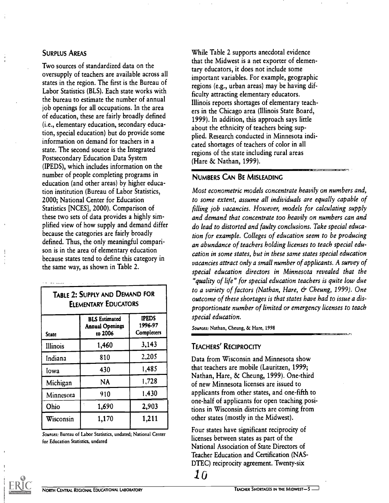#### SURPLUS AREAS

Two sources of standardized data on the oversupply of teachers are available across all states in the region. The first is the Bureau of Labor Statistics (BLS). Each state works with the bureau to estimate the number of annual job openings for all occupations. In the area of education, these are fairly broadly defined (i.e., elementary education, secondary education, special education) but do provide some information on demand for teachers in a state. The second source is the Integrated Postsecondary Education Data System (IPEDS), which includes information on the number of people completing programs in education (and other areas) by higher education institution (Bureau of Labor Statistics, 2000; National Center for Education Statistics [NCES], 2000). Comparison of these two sets of data provides a highly simplified view of how supply and demand differ because the categories are fairly broadly defined. Thus, the only meaningful comparison is in the area of elementary education because states tend to define this category in the same way, as shown in Table 2.

| TABLE 2: SUPPLY AND DEMAND FOR<br><b>ELEMENTARY EDUCATORS</b>                                                             |           |       |  |  |  |  |  |
|---------------------------------------------------------------------------------------------------------------------------|-----------|-------|--|--|--|--|--|
| <b>IPEDS</b><br><b>BLS</b> Estimated<br>1996-97<br><b>Annual Openings</b><br><b>Completers</b><br>to 2006<br><b>State</b> |           |       |  |  |  |  |  |
| Illinois                                                                                                                  | 1,460     | 3,143 |  |  |  |  |  |
| Indiana                                                                                                                   | 810       | 2,205 |  |  |  |  |  |
| Iowa                                                                                                                      | 430       | 1,485 |  |  |  |  |  |
| Michigan                                                                                                                  | <b>NA</b> | 1,728 |  |  |  |  |  |
| Minnesota                                                                                                                 | 910       | 1,430 |  |  |  |  |  |
| Ohio                                                                                                                      | 1,690     | 2,903 |  |  |  |  |  |
| Wisconsin                                                                                                                 | 1,170     | 1,211 |  |  |  |  |  |

Sources: Bureau of Labor Statistics, undated; National Center for Education Statistics, undated

While Table 2 supports anecdotal evidence that the Midwest is a net exporter of elementary educators, it does not include some important variables. For example, geographic regions (e.g., urban areas) may be having difficulty attracting elementary educators. Illinois reports shortages of elementary teachers in the Chicago area (Illinois State Board, 1999). In addition, this approach says little about the ethnicity of teachers being supplied. Research conducted in Minnesota indicated shortages of teachers of color in all regions of the state including rural areas (Hare & Nathan, 1999).

#### NUMBERS CAN BE MISLEADING

Most econometric models concentrate heavily on numbers and, to some extent, assume all individuals are equally capable of filling job vacancies. However, models for calculating supply and demand that concentrate too heavily on numbers can and do lead to distorted and faulty conclusions. Take special education for example. Colleges of education seem to be producing an abundance of teachers holding licenses to teach special education in some states, but in these same states special education vacancies attract only a small number of applicants. A survey of special education directors in Minnesota revealed that the "quality of life" for special education teachers is quite low due to a variety of factors (Nathan, Hare, & Cheung, 1999). One outcome of these shortages is that states have had to issue a disproportionate number of limited or emergency licenses to teach special education.

Sources: Nathan, Cheung, & Hare, 1998

#### TEACHERS' RECIPROCITY

Data from Wisconsin and Minnesota show that teachers are mobile (Lauritzen, 1999; Nathan, Hare, & Cheung, 1999). One-third of new Minnesota licenses are issued to applicants from other states, and one-fifth to one-half of applicants for open teaching positions in Wisconsin districts are coming from other states (mostly in the Midwest).

Four states have significant reciprocity of licenses between states as part of the National Association of State Directors of Teacher Education and Certification (NAS-DTEC) reciprocity agreement. Twenty-six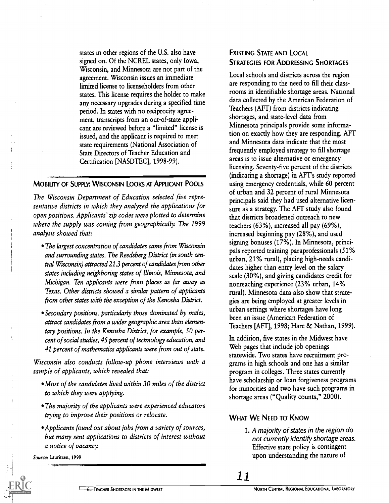states in other regions of the U.S. also have signed on. Of the NCREL states, only Iowa, Wisconsin, and Minnesota are not part of the agreement. Wisconsin issues an immediate limited license to licenseholders from other states. This license requires the holder to make any necessary upgrades during a specified time period. In states with no reciprocity agreement, transcripts from an out-of-state applicant are reviewed before a "limited" license is issued, and the applicant is required to meet state requirements (National Association of State Directors of Teacher Education and Certification [NASDTEC], 1998-99).

#### MOBILITY OF SUPPLY: WISCONSIN LOOKS AT APPLICANT POOLS

The Wisconsin Department of Education selected five representative districts in which they analyzed the applications for open positions. Applicants' zip codes were plotted to determine where the supply was coming from geographically. The 1999 analysis showed that:

- The largest concentration of candidates came from Wisconsin and surrounding states. The Reedsberg District (in south central Wisconsin) attracted 21.3 percent of candidates from other states including neighboring states of Illinois, Minnesota, and Michigan. Ten applicants were from places as far away as Texas. Other districts showed a similar pattern of applicants from other states with the exception of the Kenosha District.
- Secondary positions, particularly those dominated by males, attract candidates from a wider geographic area than elementary positions. In the Kenosha District, for example, SO percent of social studies, 45 percent of technology education, and 41 percent of mathematics applicants were from out of state.

Wisconsin also conducts follow-up phone interviews with a sample of applicants, which revealed that:

- Most of the candidates lived within 30 miles of the district to which they were applying.
- The majority of the applicants were experienced educators trying to improve their positions or relocate.
- Applicants found out about jobs from a variety of sources, but many sent applications to districts of interest without a notice of vacancy.

Source: Lauritzen, 1999

#### EXISTING STATE AND LOCAL STRATEGIES FOR ADDRESSING SHORTAGES

Local schools and districts across the region are responding to the need to fill their classrooms in identifiable shortage areas. National data collected by the American Federation of Teachers (AFT) from districts indicating shortages, and state-level data from Minnesota principals provide some information on exactly how they are responding. AFT and Minnesota data indicate that the most frequently employed strategy to fill shortage areas is to issue alternative or emergency licensing. Seventy-five percent of the districts (indicating a shortage) in AFT's study reported using emergency credentials, while 60 percent of urban and 32 percent of rural Minnesota principals said they had used alternative licensure as a strategy. The AFT study also found that districts broadened outreach to new teachers (63%), increased all pay (69%), increased beginning pay (28%), and used signing bonuses (17%). In Minnesota, principals reported training paraprofessionals (51% urban, 21% rural), placing high-needs candidates higher than entry level on the salary scale (30%), and giving candidates credit for nonteaching experience (23% urban, 14% rural). Minnesota data also show that strategies are being employed at greater levels in urban settings where shortages have long been an issue (American Federation of Teachers [AFT], 1998; Hare & Nathan, 1999).

In addition, five states in the Midwest have Web pages that include job openings statewide. Two states have recruitment programs in high schools and one has a similar program in colleges. Three states currently have scholarship or loan forgiveness programs for minorities and two have such programs in shortage areas ("Quality counts," 2000).

#### WHAT WE NEED TO KNOW

1. A majority of states in the region do not currently identify shortage areas. Effective state policy is contingent upon understanding the nature of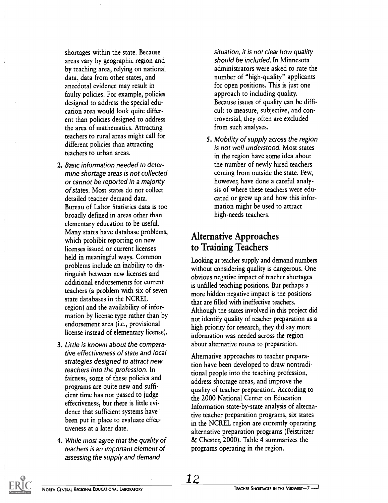shortages within the state. Because areas vary by geographic region and by teaching area, relying on national data, data from other states, and anecdotal evidence may result in faulty policies. For example, policies designed to address the special education area would look quite different than policies designed to address the area of mathematics. Attracting teachers to rural areas might call for different policies than attracting teachers to urban areas.

- 2. Basic information needed to determine shortage areas is not collected or cannot be reported in a majority of states. Most states do not collect detailed teacher demand data. Bureau of Labor Statistics data is too broadly defined in areas other than elementary education to be useful. Many states have database problems, which prohibit reporting on new licenses issued or current licenses held in meaningful ways. Common problems include an inability to distinguish between new licenses and additional endorsements for current teachers (a problem with six of seven state databases in the NCREL region) and the availability of information by license type rather than by endorsement area (i.e., provisional license instead of elementary license).
- 3. Little is known about the comparative effectiveness of state and local strategies designed to attract new teachers into the profession. In fairness, some of these policies and programs are quite new and sufficient time has not passed to judge effectiveness, but there is little evidence that sufficient systems have been put in place to evaluate effectiveness at a later date.
- 4. While most agree that the quality of teachers is an important element of assessing the supply and demand

situation, it is not clear how quality should be included. In Minnesota administrators were asked to rate the number of "high-quality" applicants for open positions. This is just one approach to including quality. Because issues of quality can be difficult to measure, subjective, and controversial, they often are excluded from such analyses.

5. Mobility of supply across the region is not well understood. Most states in the region have some idea about the number of newly hired teachers coming from outside the state. Few, however, have done a careful analysis of where these teachers were educated or grew up and how this information might be used to attract high-needs teachers.

## Alternative Approaches to Training Teachers

Looking at teacher supply and demand numbers without considering quality is dangerous. One obvious negative impact of teacher shortages is unfilled teaching positions. But perhaps a more hidden negative impact is the positions that are filled with ineffective teachers. Although the states involved in this project did not identify quality of teacher preparation as a high priority for research, they did say more information was needed across the region about alternative routes to preparation.

Alternative approaches to teacher preparation have been developed to draw nontraditional people into the teaching profession, address shortage areas, and improve the quality of teacher preparation. According to the 2000 National Center on Education Information state-by-state analysis of alternative teacher preparation programs, six states in the NCREL region are currently operating alternative preparation programs (Feistritzer & Chester, 2000). Table 4 summarizes the programs operating in the region.

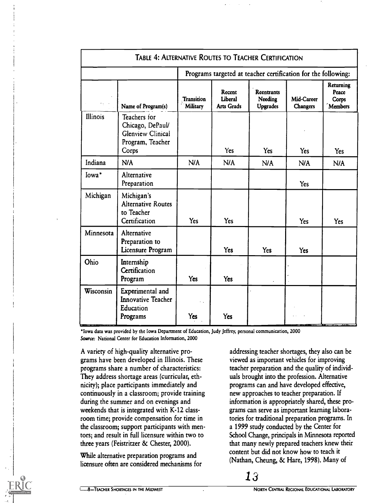|           | <b>TABLE 4: ALTERNATIVE ROUTES TO TEACHER CERTIFICATION</b>                               |                                                               |                                        |                                                 |                               |                                               |  |
|-----------|-------------------------------------------------------------------------------------------|---------------------------------------------------------------|----------------------------------------|-------------------------------------------------|-------------------------------|-----------------------------------------------|--|
|           |                                                                                           | Programs targeted at teacher certification for the following: |                                        |                                                 |                               |                                               |  |
|           | Name of Program(s)                                                                        | <b>Transition</b><br>Military                                 | Recent<br>Liberal<br><b>Arts Grads</b> | <b>Reentrants</b><br>Needing<br><b>Upgrades</b> | Mid-Career<br><b>Changers</b> | <b>Returning</b><br>Peace<br>Corps<br>Members |  |
| Illinois  | Teachers for<br>Chicago, DePaul/<br><b>Glenview Clinical</b><br>Program, Teacher<br>Corps |                                                               | Yes                                    | <b>Yes</b>                                      | <b>Yes</b>                    | <b>Yes</b>                                    |  |
| Indiana   | N/A                                                                                       | N/A                                                           | N/A                                    | N/A                                             | N/A                           | N/A                                           |  |
| Iowa*     | Alternative<br>Preparation                                                                |                                                               |                                        |                                                 | Yes                           |                                               |  |
| Michigan  | Michigan's<br><b>Alternative Routes</b><br>to Teacher<br>Certification                    | Yes                                                           | <b>Yes</b>                             |                                                 | <b>Yes</b>                    | Yes                                           |  |
| Minnesota | Alternative<br>Preparation to<br>Licensure Program                                        |                                                               | Yes                                    | <b>Yes</b>                                      | <b>Yes</b>                    |                                               |  |
| Ohio      | Internship<br>Certification<br>Program                                                    | <b>Yes</b>                                                    | <b>Yes</b>                             |                                                 |                               |                                               |  |
| Wisconsin | Experimental and<br><b>Innovative Teacher</b><br>Education<br>Programs                    | н.,<br>Yes                                                    | <b>Yes</b>                             |                                                 |                               |                                               |  |

'Iowa data was provided by the Iowa Department of Education, Judy Jeffrey, personal communication, 2000 Source: National Center for Education Information, 2000

A variety of high-quality alternative programs have been developed in Illinois. These programs share a number of characteristics: They address shortage areas (curricular, ethnicity); place participants immediately and continuously in a classroom; provide training during the summer and on evenings and weekends that is integrated with K-12 classroom time; provide compensation for time in the classroom; support participants with mentors; and result in full licensure within two to three years (Feistritzer & Chester, 2000).

While alternative preparation programs and licensure often are considered mechanisms for addressing teacher shortages, they also can be viewed as important vehicles for improving teacher preparation and the quality of individuals brought into the profession. Alternative programs can and have developed effective, new approaches to teacher preparation. If information is appropriately shared, these programs can serve as important learning laboratories for traditional preparation programs. In a 1999 study conducted by the Center for School Change, principals in Minnesota reported that many newly prepared teachers knew their content but did not know how to teach it (Nathan, Cheung, & Hare, 1998). Many of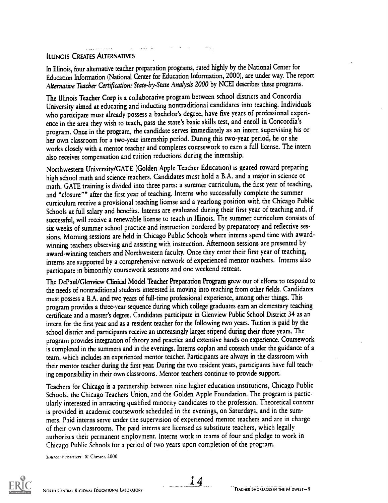#### ILLINOIS CREATES ALTERNATIVES

In Illinois, four alternative teacher preparation programs, rated highly by the National Center for Education Information (National Center for Education Information, 2000), are under way. The report Alternative Teacher Certification: State-by-State Analysis 2000 by NCEI describes these programs.

The lllinois Teacher Corp is a collaborative program between school districts and Concordia University aimed at educating and inducting nontraditional candidates into teaching. Individuals who participate must already possess a bachelor's degree, have five years of professional experience in the area they wish to teach, pass the state's basic skills test, and enroll in Concordia's program. Once in the program, the candidate serves immediately as an intern supervising his or her own classroom for a two-year internship period. During this two-year period, he or she works closely with a mentor teacher and completes coursework to earn a full license. The intern also receives compensation and tuition reductions during the internship.

Northwestern University/GATE (Golden Apple Teacher Education) is geared toward preparing high school math and science teachers. Candidates must hold a B.A. and a major in science or math. GATE training is divided into three parts: a summer curriculum, the first year of teaching, and "closure"" after the first year of teaching. Interns who successfully complete the summer curriculum receive a provisional teaching license and a yearlong position with the Chicago Public Schools at full salary and benefits. Interns are evaluated during their first year of teaching and, if successful, will receive a renewable license to teach in Illinois. The summer curriculum consists of six weeks of summer school practice and instruction bordered by preparatory and reflective sessions. Morning sessions are held in Chicago Public Schools where interns spend time with awardwinning teachers observing and assisting with instruction. Afternoon sessions are presented by award-winning teachers and Northwestern faculty. Once they enter their first year of teaching, interns are supported by a comprehensive network of experienced mentor teachers. Interns also participate in bimonthly coursework sessions and one weekend retreat.

The DePaul/Glenview Clinical Model Teacher Preparation Program grew out of efforts to respond to the needs of nontraditional students interested in moving into teaching from other fields. Candidates must possess a B.A. and two years of full-time professional experience, among other things. This program provides a three-year sequence during which college graduates earn an elementary teaching certificate and a master's degree. Candidates participate in Glenview Public School District 34 as an intern for the first year and as a resident teacher for the following two years. Tuition is paid by the school district and participants receive an increasingly larger stipend during their three years. The program provides integration of theory and practice and extensive hands-on experience. Coursework is completed in the summers and in the evenings. Interns coplan and coteach under the guidance of a team, which includes an experienced mentor teacher. Participants are always in the classroom with their mentor teacher during the first year. During the two resident years, participants have full teaching responsibility in their own classrooms. Mentor teachers continue to provide support.

Teachers for Chicago is a partnership between nine higher education institutions, Chicago Public Schools, the Chicago Teachers Union, and the Golden Apple Foundation. The program is particularly interested in attracting qualified minority candidates to the profession. Theoretical content is provided in academic coursework scheduled in the evenings, on Saturdays, and in the summers. Paid interns serve under the supervision of experienced mentor teachers and are in charge of their Own classrooms. The paid interns are licensed as substitute teachers, which legally authorizes their permanent employment. Interns work in teams of four and pledge to work in Chicago Public Schools for a period of two years upon completion of the program.

Source: Feistritzer & Chester. 2000

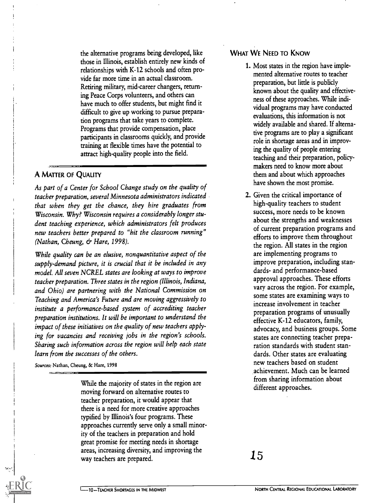the alternative programs being developed, like those in Illinois, establish entirely new kinds of relationships with K-12 schools and often provide far more time in an actual classroom. Retiring military, mid-career changers, returning Peace Corps volunteers, and others can have much to offer students, but might find it difficult to give up working to pursue preparation programs that take years to complete. Programs that provide compensation, place participants in classrooms quickly, and provide training at flexible times have the potential to attract high-quality people into the field.

#### A MATTER OF QUALITY

As part of a Center for School Change study on the quality of teacher preparation, several Minnesota administrators indicated that when they get the chance, they hire graduates from Wisconsin. Why? Wisconsin requires a considerably longer student teaching experience, which administrators felt produces new teachers better prepared to "hit the classroom running" (Nathan, Cheung, & Hare, 1998).

While quality can be an elusive, nonquantitative aspect of the supply-demand picture, it is crucial that it be included in any model. All seven NCREL states are looking at ways to improve teacher preparation. Three states in the region (Illinois, Indiana, and Ohio) are partnering with the National Commission on Teaching and America's Future and are moving aggressively to institute a performance-based system of accrediting teacher preparation institutions. It will be important to understand the impact of these initiatives on the quality of new teachers applying for vacancies and receiving jobs in the region's schools. Sharing such information across the region will help each state learn from the successes of the others.

Sources: Nathan, Cheung, & Hare, 1998

While the majority of states in the region are moving forward on alternative routes to teacher preparation, it would appear that there is a need for more creative approaches typified by Illinois's four programs. These approaches currently serve only a small minority of the teachers in preparation and hold great promise for meeting needs in shortage areas, increasing diversity, and improving the way teachers are prepared.

#### WHAT WE NEED TO KNOW

- 1. Most states in the region have implemented alternative routes to teacher preparation, but little is publicly known about the quality and effectiveness of these approaches. While individual programs may have conducted evaluations, this information is not widely available and shared. If alternative programs are to play a significant role in shortage areas and in improving the quality of people entering teaching and their preparation, policymakers need to know more about them and about which approaches have shown the most promise.
- 2. Given the critical importance of high-quality teachers to student success, more needs to be known about the strengths and weaknesses of current preparation programs and efforts to improve them throughout the region. All states in the region are implementing programs to improve preparation, including standards- and performance-based approval approaches. These efforts vary across the region. For example, some states are examining ways to increase involvement in teacher preparation programs of unusually effective K-12 educators, family, advocacy, and business groups. Some states are connecting teacher preparation standards with student standards. Other states are evaluating new teachers based on student achievement. Much can be learned from sharing information about different approaches.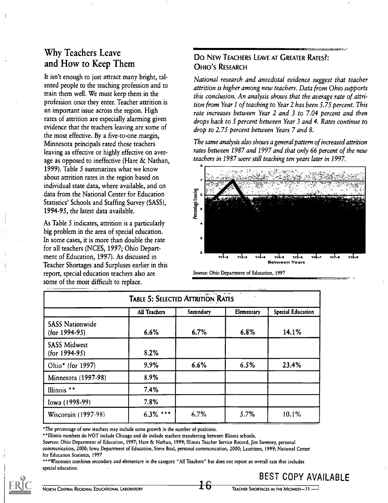## Why Teachers Leave and How to Keep Them

It isn't enough to just attract many bright, talented people to the teaching profession and to train them well. We must keep them in the profession once they enter. Teacher attrition is an important issue across the region. High rates of attrition are especially alarming given evidence that the teachers leaving are some of the most effective. By a five-to-one margin, Minnesota principals rated those teachers leaving as effective or highly effective on average as opposed to ineffective (Hare & Nathan, 1999). Table 5 summarizes what we know about attrition rates in the region based on individual state data, where available, and on<br>data from the National Center for Education<br>Statistics' Schools and Staffing Survey (SASS),<br>1994-95, the latest data available. data from the National Center for Education Statistics' Schools and Staffing Survey (SASS), 1994-95, the latest data available.

As Table 5 indicates, attrition is a particularly big problem in the area of special education. In some cases, it is more than double the rate for all teachers (NCES, 1997; Ohio Department of Education, 1997). As discussed in Teacher Shortages and Surpluses earlier in this report, special education teachers also are some of the most difficult to replace.

## DO NEW TEACHERS LEAVE AT GREATER RATES?: OHIO'S RESEARCH

National research and anecdotal evidence suggest that teacher attrition is higher among new teachers. Data from Ohio supports this conclusion. An analysis shows that the average rate of attrition from Year 1 of teaching to Year 2 has been 5.75 percent. This rate increases between Year 2 and 3 to 7.04 percent and then drops back to 5 percent between Year 3 and 4. Rates continue to drop to 2.75 percent between Years 7 and 8.

The same analysis also shows a general pattern of increased attrition rates between 1987 and 1997 and that only 66 percent of the new teachers in 1987 were still teaching ten years later in 1997.



Source: Ohio Department of Education, 1997

|                                           | TABLE 5: SELECTED ATTRITION RATES |           |            |                   |
|-------------------------------------------|-----------------------------------|-----------|------------|-------------------|
|                                           | All Teachers                      | Secondary | Elementary | Special Education |
| <b>SASS Nationwide</b><br>$(for 1994-95)$ | 6.6%                              | 6.7%      | 6.8%       | 14.1%             |
| <b>SASS Midwest</b><br>$(for 1994-95)$    | 8.2%                              |           |            |                   |
| Ohio* (for 1997)                          | 9.9%                              | 6.6%      | 6.5%       | 23.4%             |
| Minnesota (1997-98)                       | 8.9%                              |           |            |                   |
| Illinois **                               | 7.4%                              |           |            |                   |
| Iowa (1998-99)                            | 7.8%                              |           |            |                   |
| Wisconsin (1997-98)                       | $6.3\%$ ***                       | 6.7%      | 5.7%       | 10.1%             |

The percentage of new teachers may include some growth in the number of positions.

'Illinois numbers do NOT include Chicago and do include teachers transferring between Illinois schools.

Sources: Ohio Department of Education, 1997; Hare & Nathan, 1999; Illinois Teacher Service Record, Jim Sweeney, personal

communication, 2000; Iowa Department of Education, Steve Boal, personal communication, 2000; Lauritzen, 1999; National Center for Education Statistics, 1997

\*\*\*Wisconsin combines secondary and elementary in the category "All Teachers" but does not report an overall rate that includes special education.

BEST COPY AVAILABLE



NORTH CENTRAL REGIONAL EDUCATIONAL LABORATORY TEACHER SHORTAGES IN THE MIDWEST-11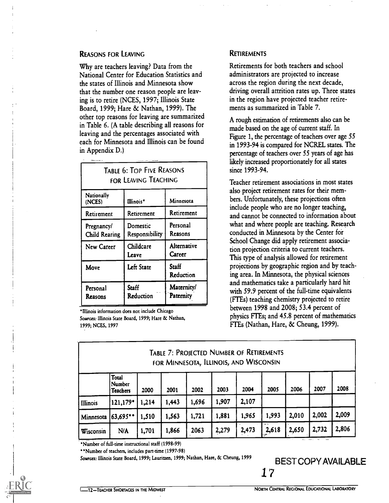#### REASONS FOR LEAVING

Why are teachers leaving? Data from the National Center for Education Statistics and the states of Illinois and Minnesota show that the number one reason people are leaving is to retire (NCES, 1997; Illinois State Board, 1999; Hare & Nathan, 1999). The other top reasons for leaving are summarized in Table 6. (A table describing all reasons for leaving and the percentages associated with each for Minnesota and Illinois can be found in Appendix D.)

| <b>TABLE 6: TOP FIVE REASONS</b><br>FOR LEAVING TEACHING |                            |                         |  |  |  |  |  |
|----------------------------------------------------------|----------------------------|-------------------------|--|--|--|--|--|
| Nationally<br>Minnesota<br>Illinois*<br>(NCES)           |                            |                         |  |  |  |  |  |
| Retirement                                               | Retirement                 | Retirement              |  |  |  |  |  |
| Pregnancy/<br><b>Child Rearing</b>                       | Domestic<br>Responsibility | Personal<br>Reasons     |  |  |  |  |  |
| New Career                                               | Childcare<br>Leave         | Alternative<br>Career   |  |  |  |  |  |
| Move                                                     | Left State                 | Staff<br>Reduction      |  |  |  |  |  |
| Personal<br>Reasons                                      | Staff<br>Reduction         | Maternity/<br>Paternity |  |  |  |  |  |

Illinois information does not include Chicago Sources: Illinois State Board, 1999; Hare & Nathan, 1999; NCES, 1997

#### **RETIREMENTS**

Retirements for both teachers and school administrators are projected to increase across the region during the next decade, driving overall attrition rates up. Three states in the region have projected teacher retirements as summarized in Table 7.

A rough estimation of retirements also can be made based on the age of current staff. In Figure 1, the percentage of teachers over age 55 in 1993-94 is compared for NCREL states. The percentage of teachers over 55 years of age has likely increased proportionately for all states since 1993-94.

Teacher retirement associations in most states also project retirement rates for their members. Unfortunately, these projections often include people who are no longer teaching, and cannot be connected to information about what and where people are teaching. Research conducted in Minnesota by the Center for School Change did apply retirement association projection criteria to current teachers. This type of analysis allowed for retirement projections by geographic region and by teaching area. In Minnesota, the physical sciences and mathematics take a particularly hard hit with 59.9 percent of the full-time equivalents (FTEs) teaching chemistry projected to retire between 1998 and 2008; 53.4 percent of physics FTEs; and 45.8 percent of mathematics FTEs (Nathan, Hare, & Cheung, 1999).

|           |                                    |       | TABLE 7: PROJECTED NUMBER OF RETIREMENTS<br>FOR MINNESOTA, ILLINOIS, AND WISCONSIN |       |       |       |       |       |       |       |
|-----------|------------------------------------|-------|------------------------------------------------------------------------------------|-------|-------|-------|-------|-------|-------|-------|
|           | Total<br>Number<br><b>Teachers</b> | 2000  | 2001                                                                               | 2002  | 2003  | 2004  | 2005  | 2006  | 2007  | 2008  |
| Illinois  | 121,179*                           | 214   | 1,443                                                                              | 1,696 | 1,907 | 2,107 |       |       |       |       |
| Minnesota | $163,695$ **                       | 1,510 | 1,563                                                                              | 1,721 | 1,881 | 1,965 | 1,993 | 2,010 | 2,002 | 2,009 |
| Wisconsin | N/A                                | 1,701 | 1,866                                                                              | 2063  | 2,279 | 2,473 | 2,618 | 2,650 | 2,732 | 2,806 |

'Number of full-time instructional staff (1998-99)

"Number of teachers, includes part-time (1997-98)

Sources: Illinois State Board, 1999; Lauritzen, 1999; Nathan, Hare, & Cheung, 1999

1? BEST COPY AVAILABLE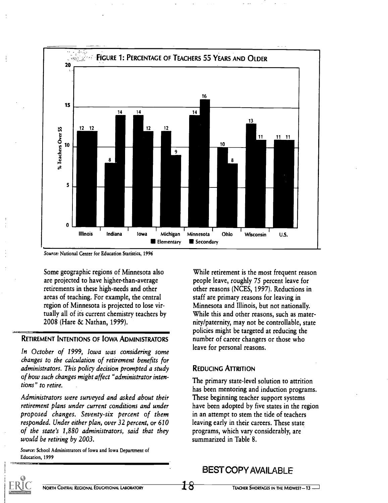

Source: National Center for Education Statistics, 1996

Some geographic regions of Minnesota also are projected to have higher-than-average retirements in these high-needs and other areas of teaching. For example, the central region of Minnesota is projected to lose virtually all of its current chemistry teachers by 2008 (Hare & Nathan, 1999).

#### RETIREMENT INTENTIONS OF IOWA ADMINISTRATORS

In October of 1999, Iowa was considering some changes to the calculation of retirement benefits for administrators. This policy decision prompted a study of how such changes might affect "administrator intentions" to retire.

Administrators were surveyed and asked about their retirement plans under current conditions and under proposed changes. Seventy-six percent of them responded. Under either plan, over 32 percent, or 610 of the state's 1,880 administrators, said that they would be retiring by 2003.

Source: School Administrators of Iowa and Iowa Department of Education, 1999

While retirement is the most frequent reason people leave, roughly 75 percent leave for other reasons (NCES, 1997). Reductions in staff are primary reasons for leaving in Minnesota and Illinois, but not nationally. While this and other reasons, such as maternity/paternity, may not be controllable, state policies might be targeted at reducing the number of career changers or those who leave for personal reasons.

#### REDUCING ATTRITION

The primary state-level solution to attrition has been mentoring and induction programs. These beginning teacher support systems have been adopted by five states in the region in an attempt to stem the tide of teachers leaving early in their careers. These state programs, which vary considerably, are summarized in Table 8.

## BEST COPY AVAIL ABLE

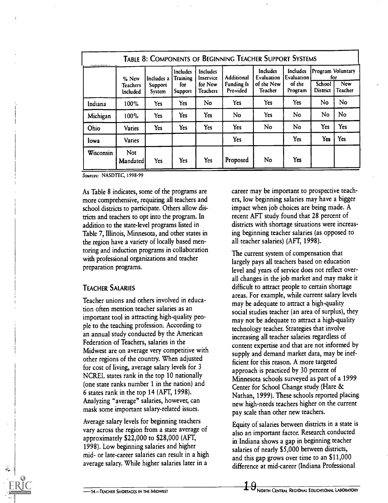|           | % New                | Includes a        | Includes<br>Training | <b>Includes</b><br>Inservice | <b>Additional</b>             | <b>Includes</b><br>Evaluation | Includes<br><b>Evaluation</b> |                           | Program Voluntary<br>for |
|-----------|----------------------|-------------------|----------------------|------------------------------|-------------------------------|-------------------------------|-------------------------------|---------------------------|--------------------------|
|           | Teachers<br>Included | Support<br>System | for<br>Support       | for New<br><b>Teachers</b>   | <b>Funding Is</b><br>Provided | of the New<br>Teacher         | of the<br>Program             | School<br><b>District</b> | <b>New</b><br>Teacher    |
| Indiana   | 100%                 | Yes               | Yes                  | No                           | Yes                           | Yes                           | Yes                           | No.                       | No                       |
| Michigan  | 100%                 | Yes               | Yes                  | Yes                          | No                            | <b>Yes</b>                    | No                            | No                        | No                       |
| Ohio      | Varies               | <b>Yes</b>        | <b>Yes</b>           | Yes                          | <b>Yes</b>                    | No                            | No                            | Yes                       | Yes                      |
| Iowa      | <b>Varies</b>        |                   |                      |                              | <b>Yes</b>                    |                               | Yes                           | Yes                       | Yes                      |
| Wisconsin | Not<br>Mandated      | Yes               | Yes                  | <b>Yes</b>                   | Proposed                      | No                            | Yes                           |                           |                          |

Sources: NASDTEC, 1998-99

As Table 8 indicates, some of the programs are more comprehensive, requiring all teachers and school districts to participate. Others allow districts and teachers to opt into the program. In addition to the state-level programs listed in Table 7, Illinois, Minnesota, and other states in the region have a variety of locally based mentoring and induction programs in collaboration with professional organizations and teacher preparation programs.

#### TEACHER SALARIES

Teacher unions and others involved in education often mention teacher salaries as an important tool in attracting high-quality people to the teaching profession. According to an annual study conducted by the American Federation of Teachers, salaries in the Midwest are on average very competitive with other regions of the country. When adjusted for cost of living, average salary levels for 3 NCREL states rank in the top 10 nationally (one state ranks number 1 in the nation) and 6 states rank in the top 14 (AFT, 1998). Analyzing "average" salaries, however, can mask some important salary-related issues.

Average salary levels for beginning teachers vary across the region from a state average of approximately \$22,000 to \$28,000 (AFT, 1998). Low beginning salaries and higher mid- or late-career salaries can result in a high average salary. While higher salaries later in a

career may be important to prospective teachers, low beginning salaries may have a bigger impact when job choices are being made. A recent AFT study found that 28 percent of districts with shortage situations were increasing beginning teacher salaries (as opposed to all teacher salaries) (AFT, 1998).

The current system of compensation that largely pays all teachers based on education level and years of service does not reflect overall changes in the job market and may make it difficult to attract people to certain shortage areas. For example, while current salary levels may be adequate to attract a high-quality social studies teacher (an area of surplus), they may not be adequate to attract a high-quality technology teacher. Strategies that involve increasing all teacher salaries regardless of content expertise and that are not informed by supply and demand market data, may be inefficient for this reason. A more targeted approach is practiced by 30 percent of Minnesota schools surveyed as part of a 1999 Center for School Change study (Hare & Nathan, 1999). These schools reported placing new high-needs teachers higher on the current pay scale than other new teachers.

Equity of salaries between districts in a state is also an important factor. Research conducted in Indiana shows a gap in beginning teacher salaries of nearly \$5,000 between districts, and this gap grows over time to an \$11,000 difference at mid-career (Indiana Professional

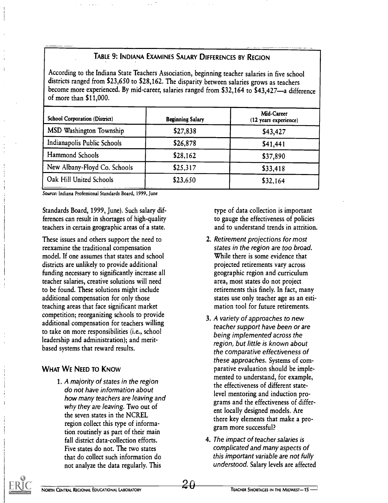## TABLE 9: INDIANA EXAMINES SALARY DIFFERENCES BY REGION

According to the Indiana State Teachers Association, beginning teacher salaries in five school districts ranged from \$23,650 to \$28,162. The disparity between salaries grows as teachers become more experienced. By mid-career, salaries ranged from \$32,164 to \$43,427-a difference of more than \$11,000.

| <b>School Corporation (District)</b> | <b>Beginning Salary</b> | Mid-Career<br>(12 years experience) |
|--------------------------------------|-------------------------|-------------------------------------|
| MSD Washington Township              | \$27,838                | \$43,427                            |
| Indianapolis Public Schools          | \$26,878                | \$41,441                            |
| Hammond Schools                      | \$28,162                | \$37,890                            |
| New Albany-Floyd Co. Schools         | \$25,317                | \$33,418                            |
| Oak Hill United Schools              | \$23,650                | \$32,164                            |

Source: Indiana Professional Standards Board, 1999, June

Standards Board, 1999, June). Such salary differences can result in shortages of high-quality teachers in certain geographic areas of a state.

These issues and others support the need to reexamine the traditional compensation model. If one assumes that states and school districts are unlikely to provide additional funding necessary to significantly increase all teacher salaries, creative solutions will need to be found. These solutions might include additional compensation for only those teaching areas that face significant market competition; reorganizing schools to provide additional compensation for teachers willing to take on more responsibilities (i.e., school leadership and administration); and meritbased systems that reward results.

## WHAT WE NEED TO KNOW

1. A majority of states in the region do not have information about how many teachers are leaving and why they are leaving. Two out of the seven states in the NCREL region collect this type of information routinely as part of their main fall district data-collection efforts. Five states do not. The two states that do collect such information do not analyze the data regularly. This

type of data collection is important to gauge the effectiveness of policies and to understand trends in attrition.

- 2. Retirement projections for most states in the region are too broad. While there is some evidence that projected retirements vary across geographic region and curriculum area, most states do not project retirements this finely. In fact, many states use only teacher age as an estimation tool for future retirements.
- 3. A variety of approaches to new teacher support have been or are being implemented across the region, but little is known about the comparative effectiveness of these approaches. Systems of comparative evaluation should be implemented to understand, for example, the effectiveness of different statelevel mentoring and induction programs and the effectiveness of different locally designed models. Are there key elements that make a program more successful?
- 4. The impact of teacher salaries is complicated and many aspects of this important variable are not fully understood. Salary levels are affected

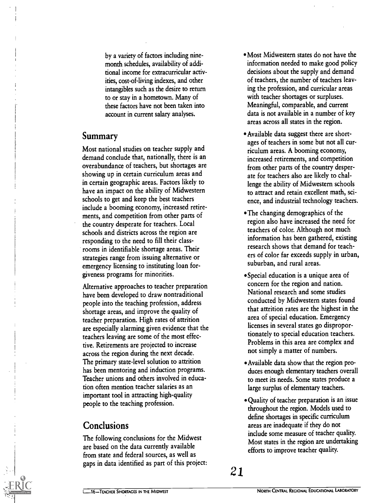by a variety of factors including ninemonth schedules, availability of additional income for extracurricular activities, cost-of-living indexes, and other intangibles such as the desire to return to or stay in a hometown. Many of these factors have not been taken into account in current salary analyses.

## Summary

Most national studies on teacher supply and demand conclude that, nationally, there is an overabundance of teachers, but shortages are showing up in certain curriculum areas and in certain geographic areas. Factors likely to have an impact on the ability of Midwestern schools to get and keep the best teachers include a booming economy, increased retirements, and competition from other parts of the country desperate for teachers. Local schools and districts across the region are responding to the need to fill their classrooms in identifiable shortage areas. Their strategies range from issuing alternative or emergency licensing to instituting loan forgiveness programs for minorities.

Alternative approaches to teacher preparation have been developed to draw nontraditional people into the teaching profession, address shortage areas, and improve the quality of teacher preparation. High rates of attrition are especially alarming given evidence that the teachers leaving are some of the most effective. Retirements are projected to increase across the region during the next decade. The primary state-level solution to attrition has been mentoring and induction programs. Teacher unions and others involved in education often mention teacher salaries as an important tool in attracting high-quality people to the teaching profession.

## Conclusions

The following conclusions for the Midwest are based on the data currently available from state and federal sources, as well as gaps in data identified as part of this project:

- Most Midwestern states do not have the information needed to make good policy decisions about the supply and demand of teachers, the number of teachers leaving the profession, and curricular areas with teacher shortages or surpluses. Meaningful, comparable, and current data is not available in a number of key areas across all states in the region.
- Available data suggest there are shortages of teachers in some but not all curriculum areas. A booming economy, increased retirements, and competition from other parts of the country desperate for teachers also are likely to challenge the ability of Midwestern schools to attract and retain excellent math, science, and industrial technology teachers.
- The changing demographics of the region also have increased the need for teachers of color. Although not much information has been gathered, existing research shows that demand for teachers of color far exceeds supply in urban, suburban, and rural areas.
- Special education is a unique area of concern for the region and nation. National research and some studies conducted by Midwestern states found that attrition rates are the highest in the area of special education. Emergency licenses in several states go disproportionately to special education teachers. Problems in this area are complex and not simply a matter of numbers.
- Available data show that the region produces enough elementary teachers overall to meet its needs. Some states produce a large surplus of elementary teachers.
- Quality of teacher preparation is an issue throughout the region. Models used to define shortages in specific curriculum areas are inadequate if they do not include some measure of teacher quality. Most states in the region are undertaking efforts to improve teacher quality.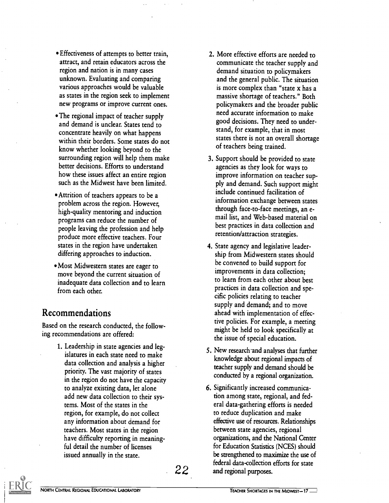- Effectiveness of attempts to better train, attract, and retain educators across the region and nation is in many cases unknown. Evaluating and comparing various approaches would be valuable as states in the region seek to implement new programs or improve current ones.
- The regional impact of teacher supply and demand is unclear. States tend to concentrate heavily on what happens within their borders. Some states do not know whether looking beyond to the surrounding region will help them make better decisions. Efforts to understand how these issues affect an entire region such as the Midwest have been limited.
- Attrition of teachers appears to be a problem across the region. However, high-quality mentoring and induction programs can reduce the number of people leaving the profession and help produce more effective teachers. Four states in the region have undertaken differing approaches to induction.
- Most Midwestern states are eager to move beyond the current situation of inadequate data collection and to learn from each other.

## Recommendations

Based on the research conducted, the following recommendations are offered:

> 1. Leadership in state agencies and legislatures in each state need to make data collection and analysis a higher priority. The vast majority of states in the region do not have the capacity to analyze existing data, let alone add new data collection to their systems. Most of the states in the region, for example, do not collect any information about demand for teachers. Most states in the region have difficulty reporting in meaningful detail the number of licenses issued annually in the state.

- 2. More effective efforts are needed to communicate the teacher supply and demand situation to policymakers and the general public. The situation is more complex than "state x has a massive shortage of teachers." Both policymakers and the broader public need accurate information to make good decisions. They need to understand, for example, that in most states there is not an overall shortage of teachers being trained.
- 3. Support should be provided to state agencies as they look for ways to improve information on teacher supply and demand. Such support might include continued facilitation of information exchange between states through face-to-face meetings, an email list, and Web-based material on best practices in data collection and retention/attraction strategies.
- 4. State agency and legislative leadership from Midwestern states should be convened to build support for improvements in data collection; to learn from each other about best practices in data collection and specific policies relating to teacher supply and demand; and to move ahead with implementation of effective policies. For example, a meeting might be held to look specifically at the issue of special education.
- 5. New research-and analyses that further knowledge about regional impacts of teacher supply and demand should be conducted by a regional organization.
- 22 and regional purposes. 6. Significantly increased communication among state, regional, and federal data-gathering efforts is needed to reduce duplication and make effective use of resources. Relationships between state agencies, regional organizations, and the National Center for Education Statistics (NCES) should be strengthened to maximize the use of federal data-collection efforts for state

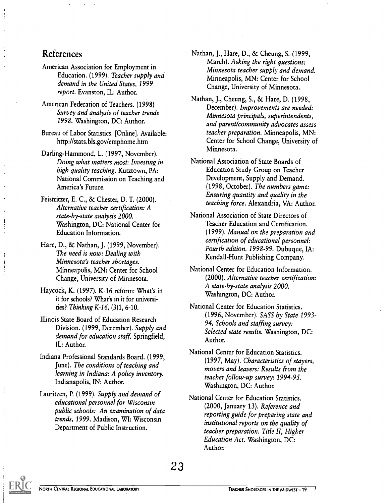## References

- American Association for Employment in Education. (1999). Teacher supply and demand in the United States, 1999 report. Evanston, IL: Author.
- American Federation of Teachers. (1998) Survey and analysis of teacher trends 1998. Washington, DC: Author.
- Bureau of Labor Statistics. [Online]. Available: http://stats.b1s.gov/emphome.htm
- Darling-Hammond, L. (1997, November). Doing what matters most: Investing in high quality teaching. Kutztown, PA: National Commission on Teaching and America's Future.
- Feistritzer, E. C., & Chester, D. T. (2000). Alternative teacher certification: A state-by-state analysis 2000. Washington, DC: National Center for Education Information.
- Hare, D., & Nathan, J. (1999, November). The need is now: Dealing with Minnesota's teacher shortages. Minneapolis, MN: Center for School Change, University of Minnesota.
- Haycock, K. (1997). K-16 reform: What's in it for schools? What's in it for universities? Thinking K-16, (3)1, 6-10.
- Illinois State Board of Education Research Division. (1999, December). Supply and demand for education staff. Springfield, IL: Author.
- Indiana Professional Standards Board. (1999, June). The conditions of teaching and learning in Indiana: A policy inventory. Indianapolis, IN: Author.
- Lauritzen, P. (1999). Supply and demand of educational personnel for Wisconsin public schools: An examination of data trends, 1999. Madison, WI: Wisconsin Department of Public Instruction.
- Nathan, J., Hare, D., & Cheung, S. (1999, March). Asking the right questions: Minnesota teacher supply and demand. Minneapolis, MN: Center for School Change, University of Minnesota.
- Nathan, J., Cheung, S., & Hare, D. (1998, December). Improvements are needed: Minnesota principals, superintendents, and parent/community advocates assess teacher preparation. Minneapolis, MN: Center for School Change, University of Minnesota.
- National Association of State Boards of Education Study Group on Teacher Development, Supply and Demand. (1998, October). The numbers game: Ensuring quantity and quality in the teaching force. Alexandria, VA: Author.
- National Association of State Directors of Teacher Education and Certification. (1999). Manual on the preparation and certification of educational personnel: Fourth edition. 1998-99. Dubuque, IA: Kendall-Hunt Publishing Company.
- National Center for Education Information. (2000). Alternative teacher certification: A state-by-state analysis 2000. Washington, DC: Author.
- National Center for Education Statistics. (1996, November). SASS by State 1993- 94, Schools and staffing survey: Selected state results. Washington, DC: Author.
- National Center for Education Statistics. (1997, May). Characteristics of stayers, movers and leavers: Results from the teacher follow-up survey: 1994-95. Washington, DC: Author.
- National Center for Education Statistics. (2000, January 13). Reference and reporting guide for preparing state and institutional reports on the quality of teacher preparation. Title II, Higher Education Act. Washington, DC: Author.

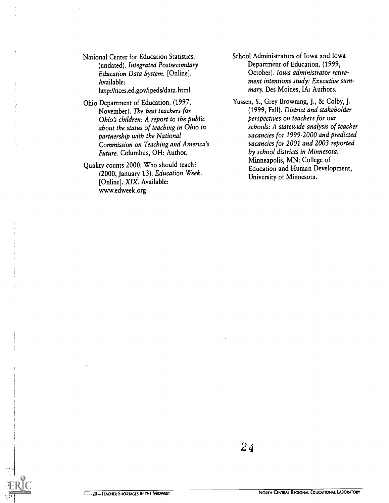National Center for Education Statistics. (undated). Integrated Postsecondary Education Data System. [Online]. Available: http://nces.ed.gov/ipeds/data.html

- Ohio Department of Education. (1997, November). The best teachers for Ohio's children: A report to the public about the status of teaching in Ohio in partnership with the National Commission on Teaching and America's Future. Columbus, OH: Author.
- Quality counts 2000: Who should teach? (2000, January 13). Education Week. [Online]. XIX. Available: www.edweek.org
- School Administrators of Iowa and Iowa Department of Education. (1999, October). Iowa administrator retirement intentions study: Executive summary. Des Moines, IA: Authors.
- Yussen, S., Grey Browning, J., & Colby, J. (1999, Fall). District and stakeholder perspectives on teachers for our schools: A statewide analysis of teacher vacancies for 1999-2000 and predicted vacancies for 2001 and 2003 reported by school districts in Minnesota. Minneapolis, MN: College of Education and Human Development, University of Minnesota.

 $\mathbf{L}$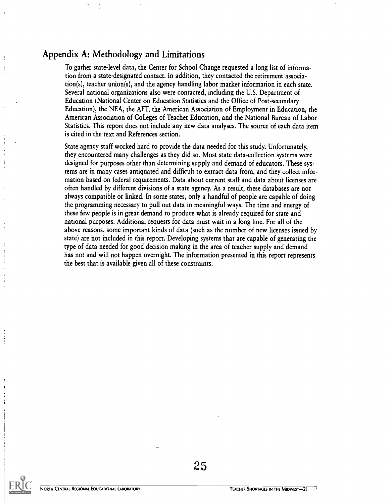## Appendix A: Methodology and Limitations

To gather state-level data, the Center for School Change requested a long list of information from a state-designated contact. In addition, they contacted the retirement association(s), teacher union(s), and the agency handling labor market information in each state. Several national organizations also were contacted, including the U.S. Department of Education (National Center on Education Statistics and the Office of Post-secondary Education), the NEA, the AFT, the American Association of Employment in Education, the American Association of Colleges of Teacher Education, and the National Bureau of Labor Statistics. This report does not include any new data analyses. The source of each data item is cited in the text and References section.

State agency staff worked hard to provide the data needed for this study. Unfortunately, they encountered many challenges as they did so. Most state data-collection systems were designed for purposes other than determining supply and demand of educators. These systems are in many cases antiquated and difficult to extract data from, and they collect information based on federal requirements. Data about current staff and data about licenses are often handled by different divisions of a state agency. As a result, these databases are not always compatible or linked. In some states, only a handful of people are capable of doing the programming necessary to pull out data in meaningful ways. The time and energy of these few people is in great demand to produce what is already required for state and national purposes. Additional requests for data must wait in a long line. For all of the above reasons, some important kinds of data (such as the number of new licenses issued by state) are not included in this report. Developing systems that are capable of generating the type of data needed for good decision making in the area of teacher supply and demand has not and will not happen overnight. The information presented in this report represents the best that is available given all of these constraints.

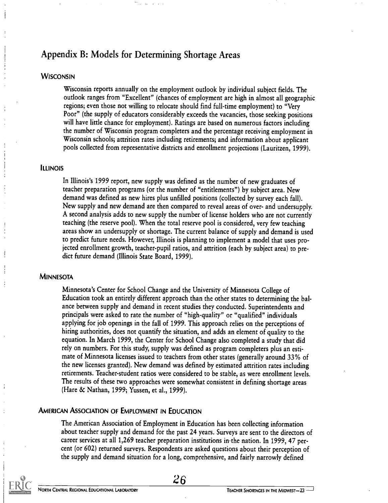## Appendix B: Models for Determining Shortage Areas

#### **WISCONSIN**

Wisconsin reports annually on the employment outlook by individual subject fields. The outlook ranges from "Excellent" (chances of employment are high in almost all geographic regions; even those not willing to relocate should find full-time employment) to "Very Poor" (the supply of educators considerably exceeds the vacancies, those seeking positions will have little chance for employment). Ratings are based on numerous factors including the number of Wisconsin program completers and the percentage receiving employment in Wisconsin schools; attrition rates including retirements; and information about applicant pools collected from representative districts and enrollment projections (Lauritzen, 1999).

#### **ILLINOIS**

In Illinois's 1999 report, new supply was defined as the number of new graduates of teacher preparation programs (or the number of "entitlements") by subject area. New demand was defined as new hires plus unfilled positions (collected by survey each fall). New supply and new demand are then compared to reveal areas of over- and undersupply. A second analysis adds to new supply the number of license holders who are not currently teaching (the reserve pool). When the total reserve pool is considered, very few teaching areas show an undersupply or shortage. The current balance of supply and demand is used to predict future needs. However, Illinois is planning to implement a model that uses projected enrollment growth, teacher-pupil ratios, and attrition (each by subject area) to predict future demand (Illinois State Board, 1999).

#### **MINNESOTA**

Minnesota's Center for School Change and the University of Minnesota College of Education took an entirely different approach than the other states to determining the balance between supply and demand in recent studies they conducted. Superintendents and principals were asked to rate the number of "high-quality" or "qualified" individuals applying for job openings in the fall of 1999. This approach relies on the perceptions of hiring authorities, does not quantify the situation, and adds an element of quality to the equation. In March 1999, the Center for School Change also completed a study that did rely on numbers. For this study, supply was defined as program completers plus an estimate of Minnesota licenses issued to teachers from other states (generally around 33% of the new licenses granted). New demand was defined by estimated attrition rates including retirements. Teacher-student ratios were considered to be stable, as were enrollment levels. The results of these two approaches were somewhat consistent in defining shortage areas (Hare & Nathan, 1999; Yussen, et al., 1999).

#### AMERICAN ASSOCIATION OF EMPLOYMENT IN EDUCATION

The American Association of Employment in Education has been collecting information about teacher supply and demand for the past 24 years. Surveys are sent to the directors of career services at all  $1,269$  teacher preparation institutions in the nation. In 1999, 47 percent (or 602) returned surveys. Respondents are asked questions about their perception of the supply and demand situation for a long, comprehensive, and fairly narrowly defined

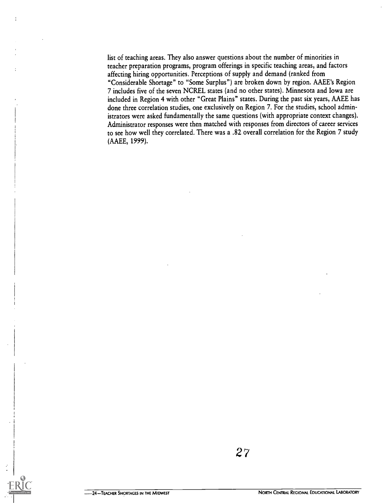list of teaching areas. They also answer questions about the number of minorities in teacher preparation programs, program offerings in specific teaching areas, and factors affecting hiring opportunities. Perceptions of supply and demand (ranked from "Considerable Shortage" to "Some Surplus") are broken down by region. AAEE's Region 7 includes five of the seven NCREL states (and no other states). Minnesota and Iowa are included in Region 4 with other "Great Plains" states. During the past six years, AAEE has done three correlation studies, one exclusively on Region 7. For the studies, school administrators were asked fundamentally the same questions (with appropriate context changes). Administrator responses were then matched with responses from directors of career services to see how well they correlated. There was a .82 overall correlation for the Region 7 study (AAEE, 1999).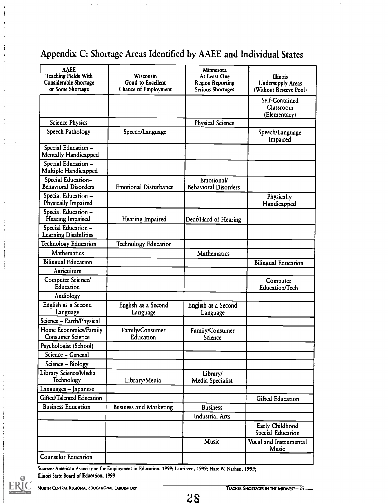## Appendix C: Shortage Areas Identified by AAEE and Individual States

| <b>AAEE</b><br><b>Teaching Fields With</b><br>Considerable Shortage<br>or Some Shortage | Wisconsin<br>Good to Excellent<br><b>Chance of Employment</b> | Minnesota<br>At Least One<br><b>Region Reporting</b><br>Serious Shortages | <b>Illinois</b><br><b>Undersupply Areas</b><br>(Without Reserve Pool) |
|-----------------------------------------------------------------------------------------|---------------------------------------------------------------|---------------------------------------------------------------------------|-----------------------------------------------------------------------|
|                                                                                         |                                                               |                                                                           | Self-Contained<br>Classroom<br>(Elementary)                           |
| <b>Science Physics</b>                                                                  |                                                               | <b>Physical Science</b>                                                   |                                                                       |
| Speech Pathology                                                                        | Speech/Language                                               |                                                                           | Speech/Language<br>Impaired                                           |
| Special Education -<br>Mentally Handicapped                                             |                                                               |                                                                           |                                                                       |
| Special Education -<br>Multiple Handicapped                                             |                                                               |                                                                           |                                                                       |
| Special Education-<br><b>Behavioral Disorders</b>                                       | <b>Emotional Disturbance</b>                                  | Emotional/<br><b>Behavioral Disorders</b>                                 |                                                                       |
| Special Education -<br>Physically Impaired                                              |                                                               |                                                                           | Physically<br>Handicapped                                             |
| Special Education -<br>Hearing Impaired                                                 | Hearing Impaired                                              | Deaf/Hard of Hearing                                                      |                                                                       |
| Special Education -<br>Learning Disabilities                                            |                                                               |                                                                           |                                                                       |
| <b>Technology Education</b>                                                             | <b>Technology Education</b>                                   |                                                                           |                                                                       |
| <b>Mathematics</b>                                                                      |                                                               | Mathematics                                                               |                                                                       |
| <b>Bilingual Education</b>                                                              |                                                               |                                                                           | <b>Bilingual Education</b>                                            |
| Agriculture                                                                             |                                                               |                                                                           |                                                                       |
| Computer Science/<br><b>Education</b>                                                   |                                                               |                                                                           | Computer<br>Education/Tech                                            |
| Audiology                                                                               |                                                               |                                                                           |                                                                       |
| English as a Second<br>Language                                                         | English as a Second<br>Language                               | English as a Second<br>Language                                           |                                                                       |
| Science - Earth/Physical                                                                |                                                               |                                                                           |                                                                       |
| Home Economics/Family<br><b>Consumer Science</b>                                        | Family/Consumer<br>Education                                  | Family/Consumer<br>Science                                                |                                                                       |
| Psychologist (School)                                                                   |                                                               |                                                                           |                                                                       |
| Science - General                                                                       |                                                               |                                                                           |                                                                       |
| Science - Biology                                                                       |                                                               |                                                                           |                                                                       |
| Library Science/Media<br>Technology                                                     | Library/Media                                                 | Library/<br>Media Specialist                                              | $\ddot{\phantom{0}}$                                                  |
| Languages - Japanese                                                                    |                                                               |                                                                           |                                                                       |
| Gifted/Talented Education                                                               |                                                               |                                                                           | Gifted Education                                                      |
| <b>Business Education</b>                                                               | <b>Business and Marketing</b>                                 | <b>Business</b>                                                           |                                                                       |
|                                                                                         |                                                               | <b>Industrial Arts</b>                                                    |                                                                       |
|                                                                                         |                                                               |                                                                           | Early Childhood<br>Special Education                                  |
|                                                                                         |                                                               | Music                                                                     | Vocal and Instrumental<br>Music                                       |
| <b>Counselor Education</b>                                                              |                                                               |                                                                           |                                                                       |
|                                                                                         |                                                               |                                                                           |                                                                       |

Sources: American Association for Employment in Education, 1999; Lauritzen, 1999; Hare & Nathan, 1999; Illinois State Board of Education, 1999



Ť

 $\frac{1}{4}$ 

 $\frac{1}{2}$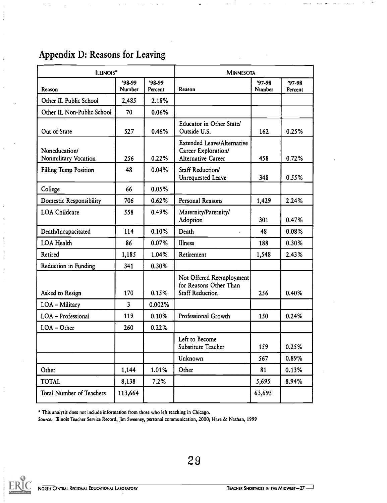## Appendix D: Reasons for Leaving

| ILLINOIS*                             |                                |                    | <b>MINNESOTA</b>                                                                      |                     |                      |
|---------------------------------------|--------------------------------|--------------------|---------------------------------------------------------------------------------------|---------------------|----------------------|
| Reason                                | $98-99$<br><b>Number</b>       | $98-99$<br>Percent | Reason                                                                                | $'97-98'$<br>Number | $'97-98'$<br>Percent |
| Other IL Public School                | 2,485                          | 2.18%              |                                                                                       |                     |                      |
| Other IL Non-Public School            | 70                             | 0.06%              |                                                                                       |                     |                      |
| Out of State                          | 527                            | 0.46%              | Educator in Other State/<br>Outside U.S.                                              | 162                 | 0.25%                |
| Noneducation/<br>Nonmilitary Vocation | 256                            | 0.22%              | <b>Extended Leave/Alternative</b><br>Career Exploration/<br><b>Alternative Career</b> | 458                 | 0.72%                |
| Filling Temp Position                 | 48                             | 0.04%              | Staff Reduction/<br>Unrequested Leave                                                 | 348                 | 0.55%                |
| College                               | 66                             | 0.05%              |                                                                                       |                     |                      |
| <b>Domestic Responsibility</b>        | 706                            | 0.62%              | Personal Reasons                                                                      | 1,429               | 2.24%                |
| <b>LOA</b> Childcare                  | 558                            | 0.49%              | Maternity/Paternity/<br>Adoption                                                      | 301                 | 0.47%                |
| Death/Incapacitated                   | 114                            | 0.10%              | Death                                                                                 | 48                  | 0.08%                |
| <b>LOA Health</b>                     | 86                             | 0.07%              | Illness                                                                               | 188                 | 0.30%                |
| Retired                               | 1,185                          | 1.04%              | Retirement                                                                            | 1,548               | 2.43%                |
| Reduction in Funding                  | 341                            | 0.30%              |                                                                                       |                     |                      |
| Asked to Resign<br>LOA - Military     | 170<br>$\overline{\mathbf{3}}$ | 0.15%<br>0.002%    | Not Offered Reemployment<br>for Reasons Other Than<br><b>Staff Reduction</b>          | 256                 | 0.40%                |
| LOA - Professional                    | 119                            | 0.10%              | Professional Growth                                                                   | 150                 | 0.24%                |
| LOA - Other                           | 260                            | 0.22%              |                                                                                       |                     |                      |
|                                       |                                |                    | Left to Become<br>Substitute Teacher                                                  | 159                 | 0.25%                |
|                                       |                                |                    | Unknown                                                                               | 567                 | 0.89%                |
| Other                                 | 1,144                          | 1.01%              | Other                                                                                 | 81                  | 0.13%                |
| <b>TOTAL</b>                          | 8,138                          | 7.2%               |                                                                                       | 5,695               | 8.94%                |
| <b>Total Number of Teachers</b>       | 113,664                        |                    |                                                                                       | 63,695              |                      |

This analysis does not include information from those who left teaching in Chicago.

Source: Illinois Teacher Service Record, Jim Sweeney, personal communication, 2000; Hare & Nathan, 1999



 $\ddot{\phantom{a}}$ 

 $\mathbf{I}$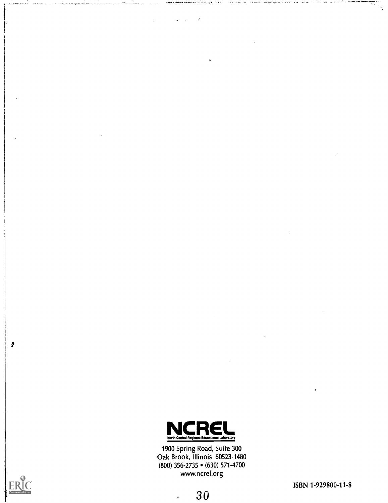

1900 Spring Road, Suite 300 Oak Brook, Illinois 60523-1480 (800) 356-2735 (630) 571-4700 www.ncrel.org



ş

ISBN 1-929800-11-8